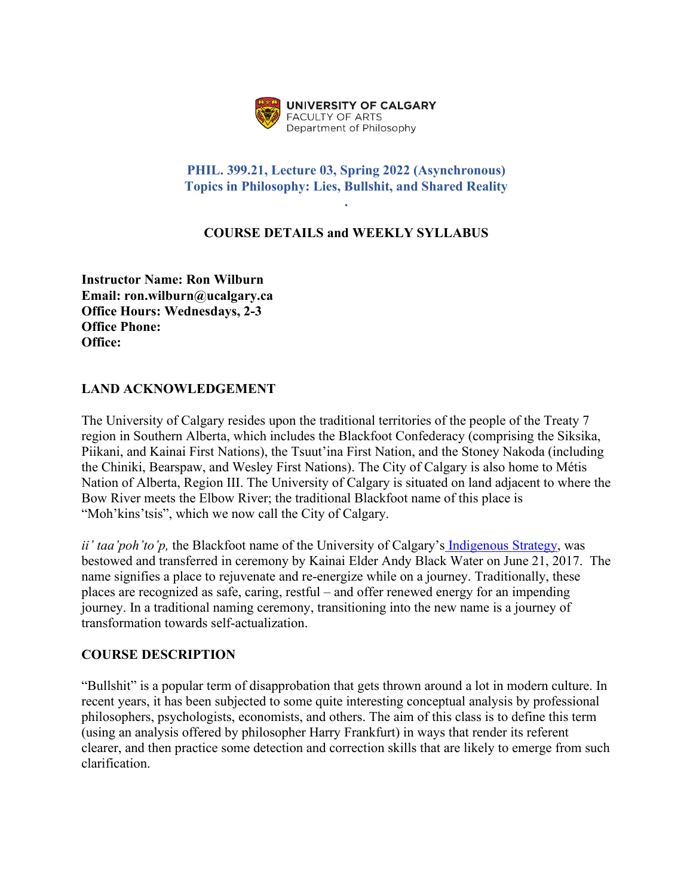

### **PHIL. 399.21, Lecture 03, Spring 2022 (Asynchronous) Topics in Philosophy: Lies, Bullshit, and Shared Reality**

**.** 

## **COURSE DETAILS and WEEKLY SYLLABUS**

**Instructor Name: Ron Wilburn Email: ron.wilburn@ucalgary.ca Office Hours: Wednesdays, 2-3 Office Phone: Office:** 

### **LAND ACKNOWLEDGEMENT**

The University of Calgary resides upon the traditional territories of the people of the Treaty 7 region in Southern Alberta, which includes the Blackfoot Confederacy (comprising the Siksika, Piikani, and Kainai First Nations), the Tsuut'ina First Nation, and the Stoney Nakoda (including the Chiniki, Bearspaw, and Wesley First Nations). The City of Calgary is also home to Métis Nation of Alberta, Region III. The University of Calgary is situated on land adjacent to where the Bow River meets the Elbow River; the traditional Blackfoot name of this place is "Moh'kins'tsis", which we now call the City of Calgary.

*ii' taa'poh'to'p,* the Blackfoot name of the University of Calgary's [Indigenous Strategy,](https://www.ucalgary.ca/indigenous/ii-taapohtop) was bestowed and transferred in ceremony by Kainai Elder Andy Black Water on June 21, 2017. The name signifies a place to rejuvenate and re-energize while on a journey. Traditionally, these places are recognized as safe, caring, restful – and offer renewed energy for an impending journey. In a traditional naming ceremony, transitioning into the new name is a journey of transformation towards self-actualization.

#### **COURSE DESCRIPTION**

"Bullshit" is a popular term of disapprobation that gets thrown around a lot in modern culture. In recent years, it has been subjected to some quite interesting conceptual analysis by professional philosophers, psychologists, economists, and others. The aim of this class is to define this term (using an analysis offered by philosopher Harry Frankfurt) in ways that render its referent clearer, and then practice some detection and correction skills that are likely to emerge from such clarification.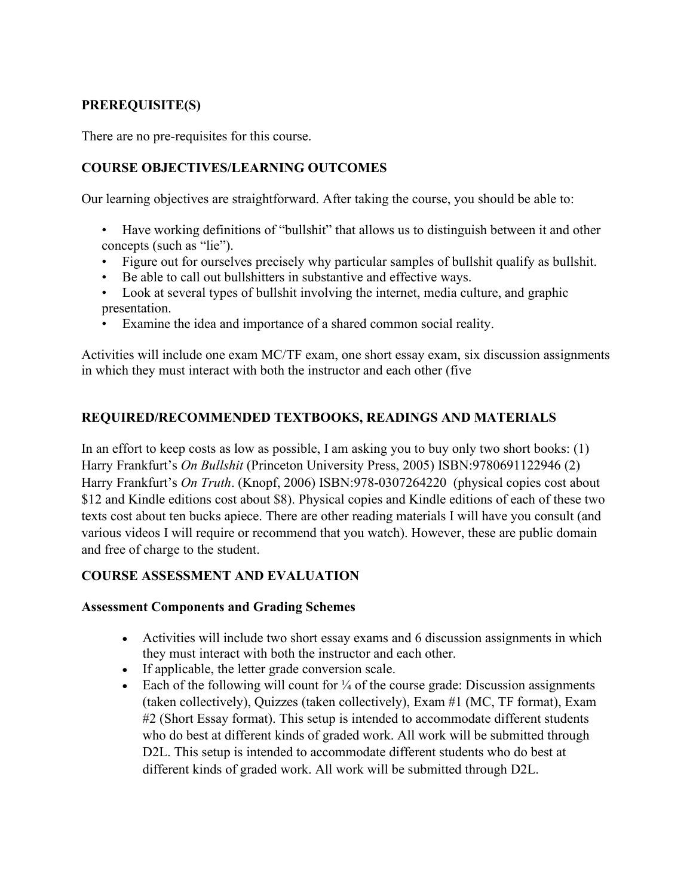## **PREREQUISITE(S)**

There are no pre-requisites for this course.

### **COURSE OBJECTIVES/LEARNING OUTCOMES**

Our learning objectives are straightforward. After taking the course, you should be able to:

- Have working definitions of "bullshit" that allows us to distinguish between it and other concepts (such as "lie").
- Figure out for ourselves precisely why particular samples of bullshit qualify as bullshit.
- Be able to call out bullshitters in substantive and effective ways.
- Look at several types of bullshit involving the internet, media culture, and graphic presentation.
- Examine the idea and importance of a shared common social reality.

Activities will include one exam MC/TF exam, one short essay exam, six discussion assignments in which they must interact with both the instructor and each other (five

### **REQUIRED/RECOMMENDED TEXTBOOKS, READINGS AND MATERIALS**

In an effort to keep costs as low as possible, I am asking you to buy only two short books: (1) Harry Frankfurt's *On Bullshit* (Princeton University Press, 2005) ISBN:9780691122946 (2) Harry Frankfurt's *On Truth*. (Knopf, 2006) ISBN:978-0307264220 (physical copies cost about \$12 and Kindle editions cost about \$8). Physical copies and Kindle editions of each of these two texts cost about ten bucks apiece. There are other reading materials I will have you consult (and various videos I will require or recommend that you watch). However, these are public domain and free of charge to the student.

### **COURSE ASSESSMENT AND EVALUATION**

#### **Assessment Components and Grading Schemes**

- Activities will include two short essay exams and 6 discussion assignments in which they must interact with both the instructor and each other.
- If applicable, the letter grade conversion scale.
- Each of the following will count for  $\frac{1}{4}$  of the course grade: Discussion assignments (taken collectively), Quizzes (taken collectively), Exam #1 (MC, TF format), Exam #2 (Short Essay format). This setup is intended to accommodate different students who do best at different kinds of graded work. All work will be submitted through D2L. This setup is intended to accommodate different students who do best at different kinds of graded work. All work will be submitted through D2L.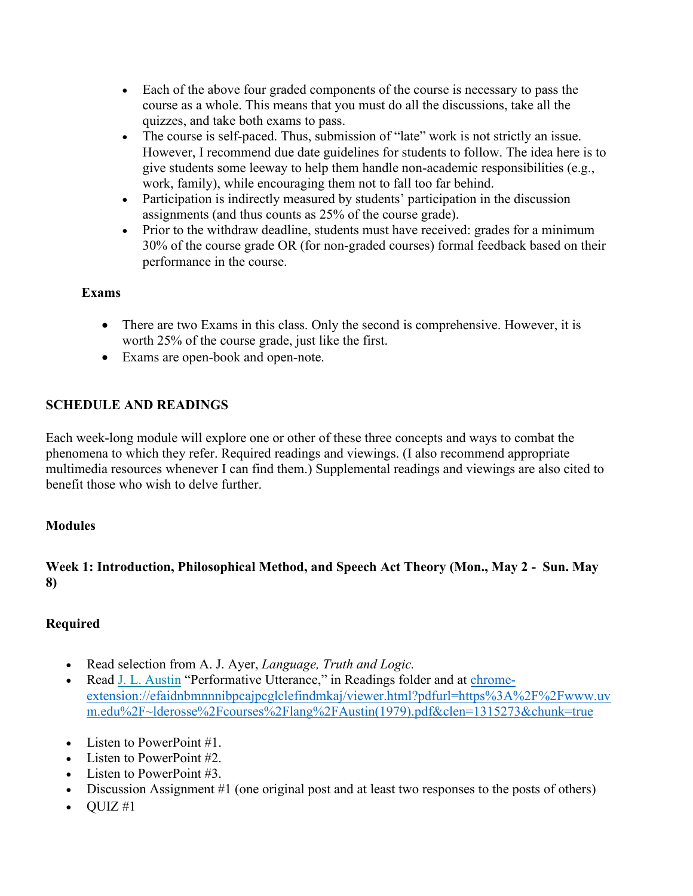- Each of the above four graded components of the course is necessary to pass the course as a whole. This means that you must do all the discussions, take all the quizzes, and take both exams to pass.
- The course is self-paced. Thus, submission of "late" work is not strictly an issue. However, I recommend due date guidelines for students to follow. The idea here is to give students some leeway to help them handle non-academic responsibilities (e.g., work, family), while encouraging them not to fall too far behind.
- Participation is indirectly measured by students' participation in the discussion assignments (and thus counts as 25% of the course grade).
- Prior to the withdraw deadline, students must have received: grades for a minimum 30% of the course grade OR (for non-graded courses) formal feedback based on their performance in the course.

# **Exams**

- There are two Exams in this class. Only the second is comprehensive. However, it is worth 25% of the course grade, just like the first.
- Exams are open-book and open-note.

# **SCHEDULE AND READINGS**

Each week-long module will explore one or other of these three concepts and ways to combat the phenomena to which they refer. Required readings and viewings. (I also recommend appropriate multimedia resources whenever I can find them.) Supplemental readings and viewings are also cited to benefit those who wish to delve further.

# **Modules**

# **Week 1: Introduction, Philosophical Method, and Speech Act Theory (Mon., May 2 - Sun. May 8)**

# **Required**

- Read selection from A. J. Ayer, *Language, Truth and Logic.*
- Read [J. L. Austin](http://www.uvm.edu/%7Elderosse/courses/lang/Austin(1979).pdf) "Performative Utterance," in Readings folder and at [chrome](chrome-extension://efaidnbmnnnibpcajpcglclefindmkaj/viewer.html?pdfurl=https%3A%2F%2Fwww.uvm.edu%2F%7Elderosse%2Fcourses%2Flang%2FAustin(1979).pdf&clen=1315273&chunk=true)[extension://efaidnbmnnnibpcajpcglclefindmkaj/viewer.html?pdfurl=https%3A%2F%2Fwww.uv](chrome-extension://efaidnbmnnnibpcajpcglclefindmkaj/viewer.html?pdfurl=https%3A%2F%2Fwww.uvm.edu%2F%7Elderosse%2Fcourses%2Flang%2FAustin(1979).pdf&clen=1315273&chunk=true) [m.edu%2F~lderosse%2Fcourses%2Flang%2FAustin\(1979\).pdf&clen=1315273&chunk=true](chrome-extension://efaidnbmnnnibpcajpcglclefindmkaj/viewer.html?pdfurl=https%3A%2F%2Fwww.uvm.edu%2F%7Elderosse%2Fcourses%2Flang%2FAustin(1979).pdf&clen=1315273&chunk=true)
- Listen to PowerPoint #1.
- Listen to PowerPoint #2.
- Listen to PowerPoint #3.
- Discussion Assignment #1 (one original post and at least two responses to the posts of others)
- $\bullet$  OUIZ #1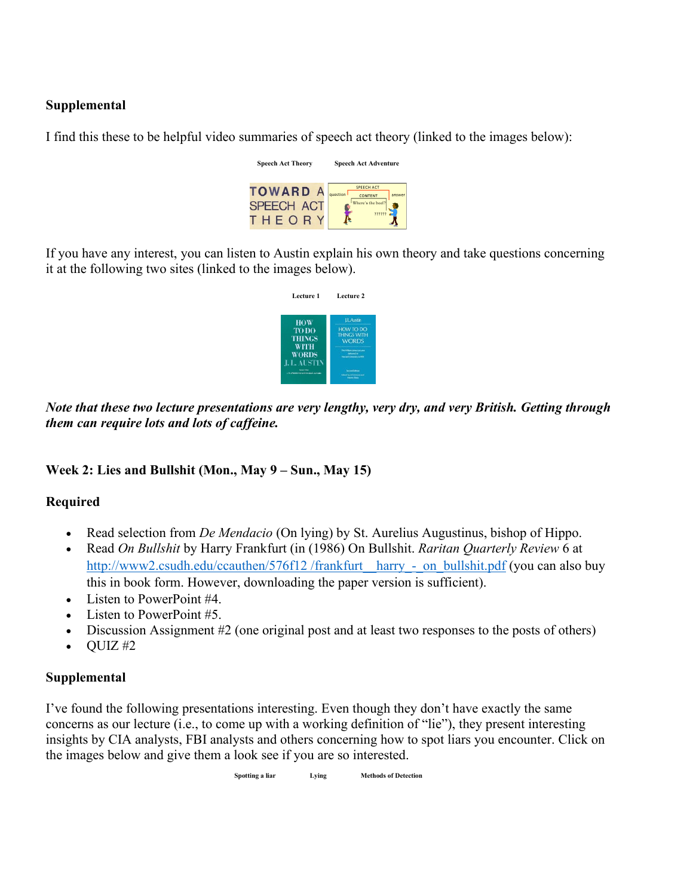## **Supplemental**

I find this these to be helpful video summaries of speech act theory (linked to the images below):

| <b>Speech Act Theory</b>                       | <b>Speech Act Adventure</b>                                             |
|------------------------------------------------|-------------------------------------------------------------------------|
| <b>TOWARD A</b><br><b>SPEECH ACT</b><br>THEOR' | <b>SPEECH ACT</b><br>question<br>answer<br>CONTENT<br>Where's the beef? |

If you have any interest, you can listen to Austin explain his own theory and take questions concerning it at the following two sites (linked to the images below).

| Lecture 1                                                                  | Lecture 2                                                                                |
|----------------------------------------------------------------------------|------------------------------------------------------------------------------------------|
| <b>HOW</b>                                                                 | <b>ILAstin</b>                                                                           |
| <b>TO DO</b><br>THINGS                                                     | HOW TO DO<br><b>THINGS WITH</b><br><b>WORDS</b>                                          |
| WITH<br>WORDS                                                              | The Incident American Land<br>deferred to<br><b>Harvard Chinese By at 1973</b>           |
| I. L. AUSTIN<br><b>Service Color</b><br>U.S. LENGON AND WALNA SECA. EUTING | <b><i><u>Secretians</u></i></b><br><b>School be of Manneer and</b><br><b>Shows State</b> |

*Note that these two lecture presentations are very lengthy, very dry, and very British. Getting through them can require lots and lots of caffeine.*

### **Week 2: Lies and Bullshit (Mon., May 9 – Sun., May 15)**

### **Required**

- Read selection from *De Mendacio* (On lying) by St. Aurelius Augustinus, bishop of Hippo.
- Read *On Bullshit* by Harry Frankfurt (in (1986) On Bullshit. *Raritan Quarterly Review* 6 at http://www2.csudh.edu/ccauthen/576f12 /frankfurt\_harry\_-\_on\_bullshit.pdf (you can also buy this in book form. However, downloading the paper version is sufficient).
- Listen to PowerPoint #4.
- Listen to PowerPoint #5.
- Discussion Assignment #2 (one original post and at least two responses to the posts of others)
- $\bullet$  QUIZ#2

### **Supplemental**

I've found the following presentations interesting. Even though they don't have exactly the same concerns as our lecture (i.e., to come up with a working definition of "lie"), they present interesting insights by CIA analysts, FBI analysts and others concerning how to spot liars you encounter. Click on the images below and give them a look see if you are so interested.

 **Spotting a liar Lying Methods of Detection**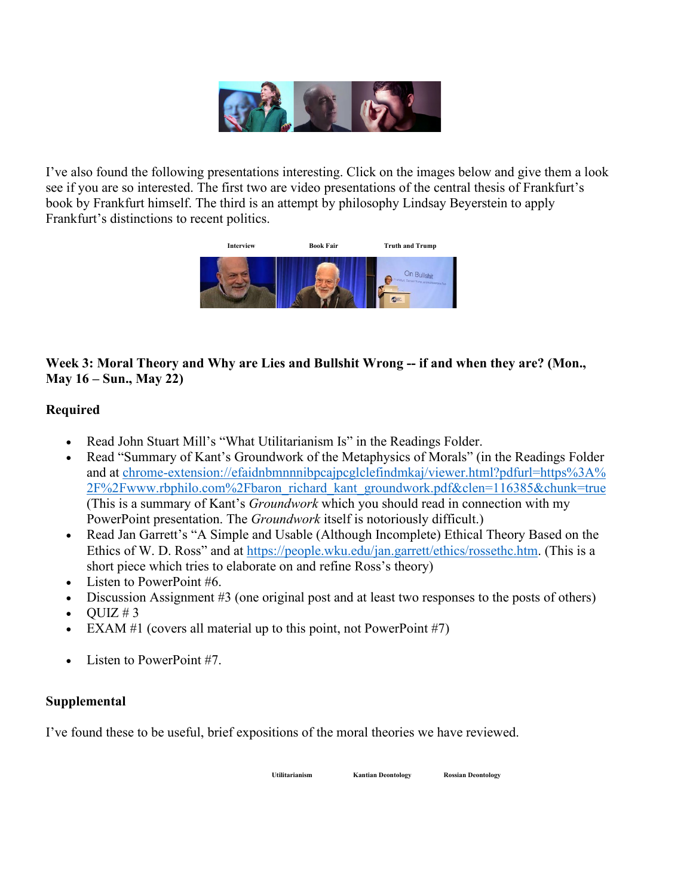

I've also found the following presentations interesting. Click on the images below and give them a look see if you are so interested. The first two are video presentations of the central thesis of Frankfurt's book by Frankfurt himself. The third is an attempt by philosophy Lindsay Beyerstein to apply Frankfurt's distinctions to recent politics.



# **Week 3: Moral Theory and Why are Lies and Bullshit Wrong -- if and when they are? (Mon., May 16 – Sun., May 22)**

# **Required**

- Read John Stuart Mill's "What Utilitarianism Is" in the Readings Folder.
- Read "Summary of Kant's Groundwork of the Metaphysics of Morals" (in the Readings Folder and at [chrome-extension://efaidnbmnnnibpcajpcglclefindmkaj/viewer.html?pdfurl=https%3A%](chrome-extension://efaidnbmnnnibpcajpcglclefindmkaj/viewer.html?pdfurl=https%3A%25%202F%2Fwww.rbphilo.com%2Fbaron_richard_kant_groundwork.pdf&clen=116385&chunk=true)  [2F%2Fwww.rbphilo.com%2Fbaron\\_richard\\_kant\\_groundwork.pdf&clen=116385&chunk=true](chrome-extension://efaidnbmnnnibpcajpcglclefindmkaj/viewer.html?pdfurl=https%3A%25%202F%2Fwww.rbphilo.com%2Fbaron_richard_kant_groundwork.pdf&clen=116385&chunk=true) (This is a summary of Kant's *Groundwork* which you should read in connection with my PowerPoint presentation. The *Groundwork* itself is notoriously difficult.)
- Read Jan Garrett's "A Simple and Usable (Although Incomplete) Ethical Theory Based on the Ethics of W. D. Ross" and at [https://people.wku.edu/jan.garrett/ethics/rossethc.htm.](https://people.wku.edu/jan.garrett/ethics/rossethc.htm) (This is a short piece which tries to elaborate on and refine Ross's theory)
- Listen to PowerPoint #6.
- Discussion Assignment #3 (one original post and at least two responses to the posts of others)
- $\bullet$  OUIZ #3
- EXAM  $#1$  (covers all material up to this point, not PowerPoint  $#7$ )
- Listen to PowerPoint #7.

### **Supplemental**

I've found these to be useful, brief expositions of the moral theories we have reviewed.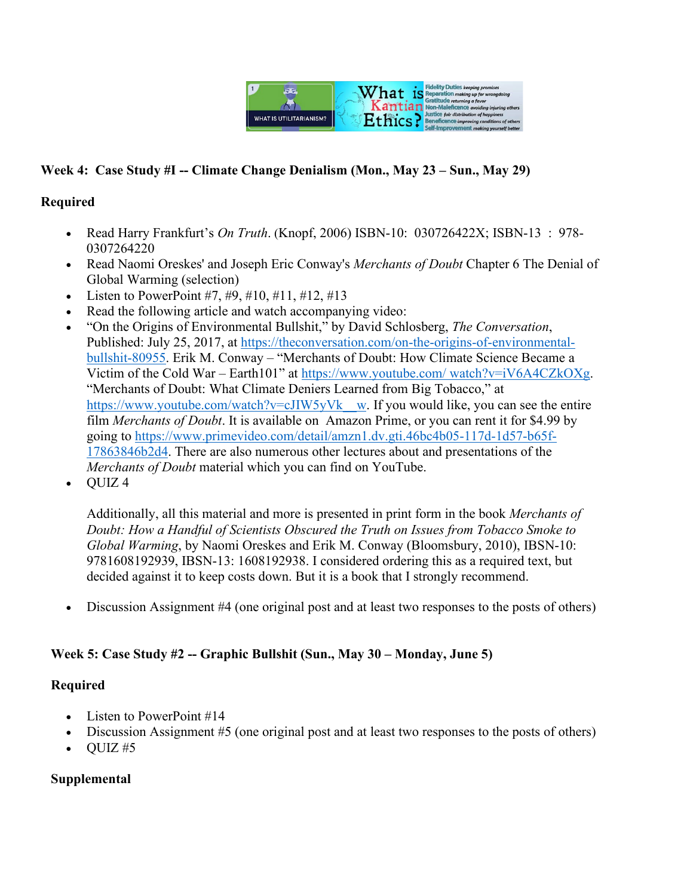

## **Week 4: Case Study #I -- Climate Change Denialism (Mon., May 23 – Sun., May 29)**

#### **Required**

- Read Harry Frankfurt's *On Truth*. (Knopf, 2006) ISBN-10: 030726422X; ISBN-13 : 978- 0307264220
- Read Naomi Oreskes' and Joseph Eric Conway's *Merchants of Doubt* Chapter 6 The Denial of Global Warming (selection)
- Listen to PowerPoint #7, #9, #10, #11, #12, #13
- Read the following article and watch accompanying video:
- "On the Origins of Environmental Bullshit," by David Schlosberg, *The Conversation*, Published: July 25, 2017, at [https://theconversation.com/on-the-origins-of-environmental](https://theconversation.com/on-the-origins-of-environmental-bullshit-80955)[bullshit-80955.](https://theconversation.com/on-the-origins-of-environmental-bullshit-80955) Erik M. Conway – "Merchants of Doubt: How Climate Science Became a Victim of the Cold War – Earth101" at [https://www.youtube.com/ watch?v=iV6A4CZkOXg.](https://www.youtube.com/%20watch?v=iV6A4CZkOXg) "Merchants of Doubt: What Climate Deniers Learned from Big Tobacco," at https://www.youtube.com/watch?v=cJIW5yVk\_w. If you would like, you can see the entire film *Merchants of Doubt*. It is available on Amazon Prime, or you can rent it for \$4.99 by going to [https://www.primevideo.com/detail/amzn1.dv.gti.46bc4b05-117d-1d57-b65f-](https://www.primevideo.com/detail/amzn1.dv.gti.46bc4b05-117d-1d57-b65f-17863846b2d4)[17863846b2d4.](https://www.primevideo.com/detail/amzn1.dv.gti.46bc4b05-117d-1d57-b65f-17863846b2d4) There are also numerous other lectures about and presentations of the *Merchants of Doubt* material which you can find on YouTube.
- QUIZ 4

Additionally, all this material and more is presented in print form in the book *Merchants of Doubt: How a Handful of Scientists Obscured the Truth on Issues from Tobacco Smoke to Global Warming*, by Naomi Oreskes and Erik M. Conway (Bloomsbury, 2010), IBSN-10: 9781608192939, IBSN-13: 1608192938. I considered ordering this as a required text, but decided against it to keep costs down. But it is a book that I strongly recommend.

• Discussion Assignment #4 (one original post and at least two responses to the posts of others)

### **Week 5: Case Study #2 -- Graphic Bullshit (Sun., May 30 – Monday, June 5)**

#### **Required**

- Listen to PowerPoint #14
- Discussion Assignment #5 (one original post and at least two responses to the posts of others)
- $\bullet$  OUIZ #5

### **Supplemental**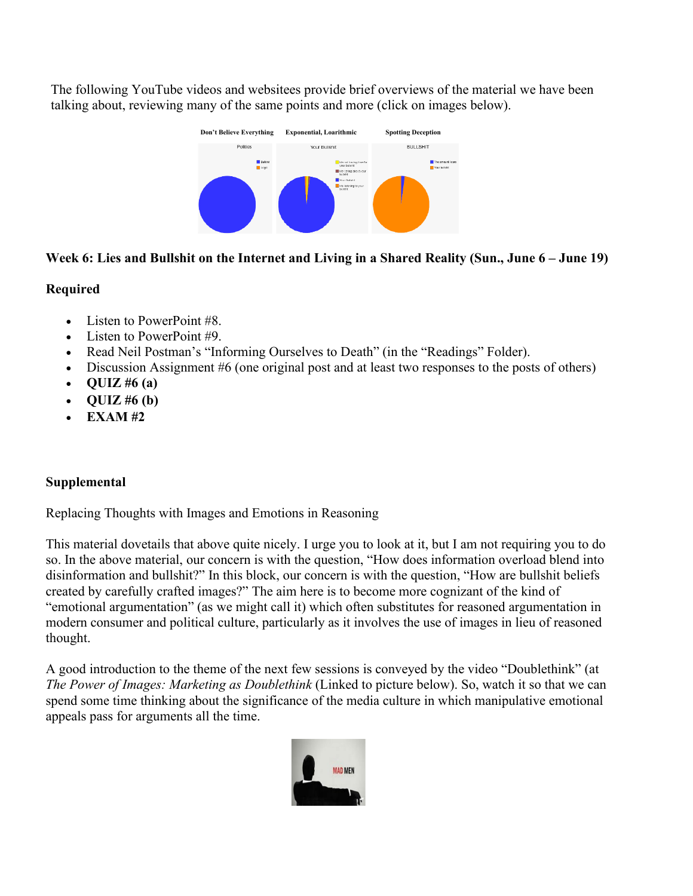The following YouTube videos and websitees provide brief overviews of the material we have been talking about, reviewing many of the same points and more (click on images below).



## **Week 6: Lies and Bullshit on the Internet and Living in a Shared Reality (Sun., June 6 – June 19)**

### **Required**

- Listen to PowerPoint #8.
- Listen to PowerPoint #9.
- Read Neil Postman's "Informing Ourselves to Death" (in the "Readings" Folder).
- Discussion Assignment #6 (one original post and at least two responses to the posts of others)
- **QUIZ #6 (a)**
- **QUIZ #6 (b)**
- **EXAM #2**

# **Supplemental**

Replacing Thoughts with Images and Emotions in Reasoning

This material dovetails that above quite nicely. I urge you to look at it, but I am not requiring you to do so. In the above material, our concern is with the question, "How does information overload blend into disinformation and bullshit?" In this block, our concern is with the question, "How are bullshit beliefs created by carefully crafted images?" The aim here is to become more cognizant of the kind of "emotional argumentation" (as we might call it) which often substitutes for reasoned argumentation in modern consumer and political culture, particularly as it involves the use of images in lieu of reasoned thought.

A good introduction to the theme of the next few sessions is conveyed by the video "Doublethink" (at *The Power of Images: Marketing as Doublethink* (Linked to picture below). So, watch it so that we can spend some time thinking about the significance of the media culture in which manipulative emotional appeals pass for arguments all the time.

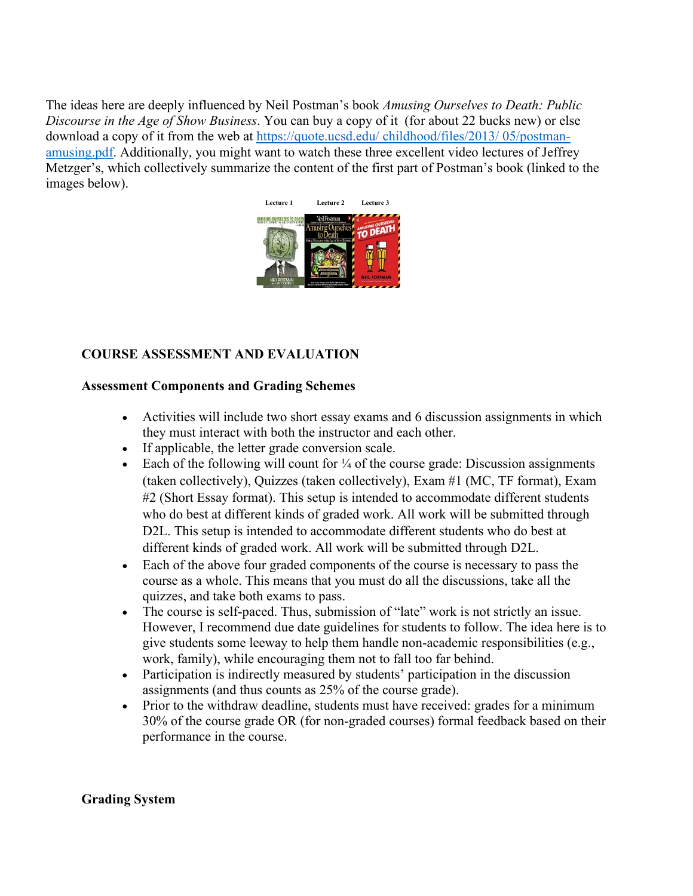The ideas here are deeply influenced by Neil Postman's book *Amusing Ourselves to Death: Public Discourse in the Age of Show Business*. You can buy a copy of it (for about 22 bucks new) or else download a copy of it from the web at [https://quote.ucsd.edu/ childhood/files/2013/ 05/postman](https://quote.ucsd.edu/%20childhood/files/2013/%2005/postman-amusing.pdf)[amusing.pdf.](https://quote.ucsd.edu/%20childhood/files/2013/%2005/postman-amusing.pdf) Additionally, you might want to watch these three excellent video lectures of Jeffrey Metzger's, which collectively summarize the content of the first part of Postman's book (linked to the images below).



# **COURSE ASSESSMENT AND EVALUATION**

#### **Assessment Components and Grading Schemes**

- Activities will include two short essay exams and 6 discussion assignments in which they must interact with both the instructor and each other.
- If applicable, the letter grade conversion scale.
- Each of the following will count for  $\frac{1}{4}$  of the course grade: Discussion assignments (taken collectively), Quizzes (taken collectively), Exam #1 (MC, TF format), Exam #2 (Short Essay format). This setup is intended to accommodate different students who do best at different kinds of graded work. All work will be submitted through D2L. This setup is intended to accommodate different students who do best at different kinds of graded work. All work will be submitted through D2L.
- Each of the above four graded components of the course is necessary to pass the course as a whole. This means that you must do all the discussions, take all the quizzes, and take both exams to pass.
- The course is self-paced. Thus, submission of "late" work is not strictly an issue. However, I recommend due date guidelines for students to follow. The idea here is to give students some leeway to help them handle non-academic responsibilities (e.g., work, family), while encouraging them not to fall too far behind.
- Participation is indirectly measured by students' participation in the discussion assignments (and thus counts as 25% of the course grade).
- Prior to the withdraw deadline, students must have received: grades for a minimum 30% of the course grade OR (for non-graded courses) formal feedback based on their performance in the course.

#### **Grading System**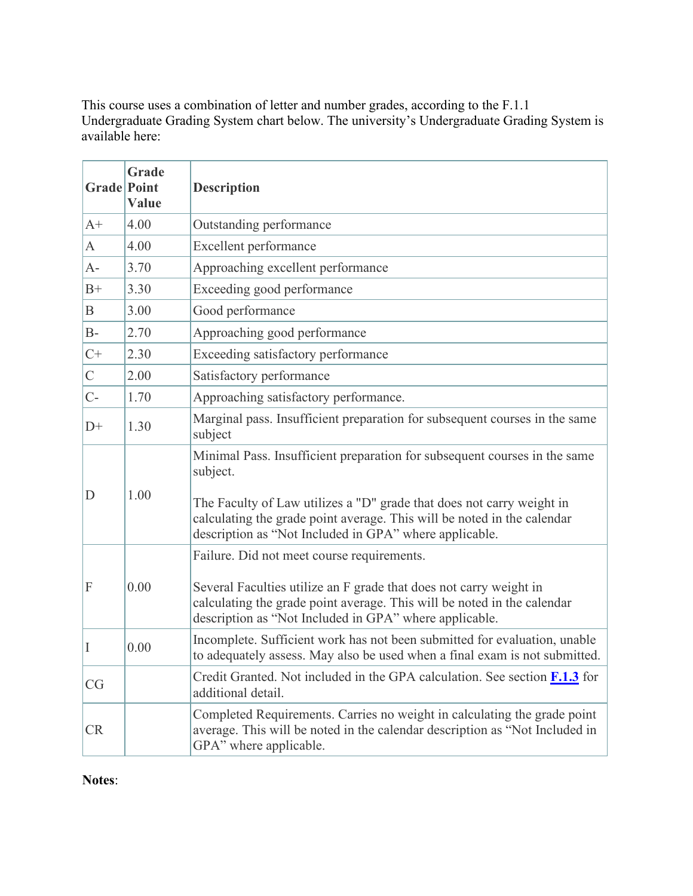This course uses a combination of letter and number grades, according to the F.1.1 Undergraduate Grading System chart below. The university's Undergraduate Grading System is available here:

| <b>Grade</b> Point | Grade<br>Value | <b>Description</b>                                                                                                                                                                                                                                                                                  |
|--------------------|----------------|-----------------------------------------------------------------------------------------------------------------------------------------------------------------------------------------------------------------------------------------------------------------------------------------------------|
| $A+$               | 4.00           | Outstanding performance                                                                                                                                                                                                                                                                             |
| A                  | 4.00           | Excellent performance                                                                                                                                                                                                                                                                               |
| $A -$              | 3.70           | Approaching excellent performance                                                                                                                                                                                                                                                                   |
| $B+$               | 3.30           | Exceeding good performance                                                                                                                                                                                                                                                                          |
| $\mathbf B$        | 3.00           | Good performance                                                                                                                                                                                                                                                                                    |
| $B-$               | 2.70           | Approaching good performance                                                                                                                                                                                                                                                                        |
| $C+$               | 2.30           | Exceeding satisfactory performance                                                                                                                                                                                                                                                                  |
| $\mathcal{C}$      | 2.00           | Satisfactory performance                                                                                                                                                                                                                                                                            |
| $C-$               | 1.70           | Approaching satisfactory performance.                                                                                                                                                                                                                                                               |
| $D+$               | 1.30           | Marginal pass. Insufficient preparation for subsequent courses in the same<br>subject                                                                                                                                                                                                               |
| D                  | 1.00           | Minimal Pass. Insufficient preparation for subsequent courses in the same<br>subject.<br>The Faculty of Law utilizes a "D" grade that does not carry weight in<br>calculating the grade point average. This will be noted in the calendar<br>description as "Not Included in GPA" where applicable. |
| F                  | 0.00           | Failure. Did not meet course requirements.<br>Several Faculties utilize an F grade that does not carry weight in<br>calculating the grade point average. This will be noted in the calendar<br>description as "Not Included in GPA" where applicable.                                               |
| I                  | 0.00           | Incomplete. Sufficient work has not been submitted for evaluation, unable<br>to adequately assess. May also be used when a final exam is not submitted.                                                                                                                                             |
| CG                 |                | Credit Granted. Not included in the GPA calculation. See section <b>F.1.3</b> for<br>additional detail.                                                                                                                                                                                             |
| <b>CR</b>          |                | Completed Requirements. Carries no weight in calculating the grade point<br>average. This will be noted in the calendar description as "Not Included in<br>GPA" where applicable.                                                                                                                   |

**Notes**: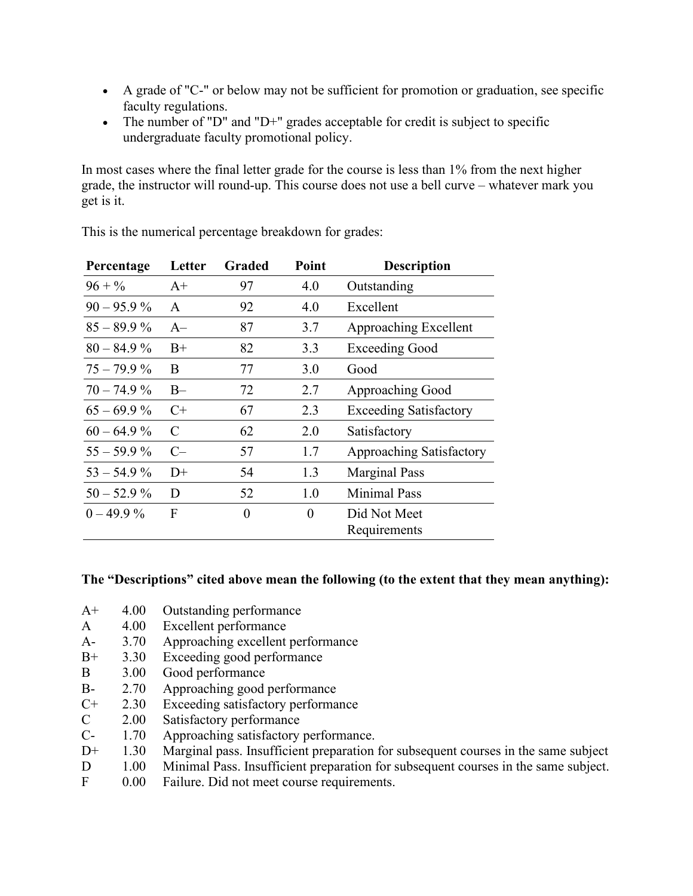- A grade of "C-" or below may not be sufficient for promotion or graduation, see specific faculty regulations.
- The number of "D" and "D+" grades acceptable for credit is subject to specific undergraduate faculty promotional policy.

In most cases where the final letter grade for the course is less than 1% from the next higher grade, the instructor will round-up. This course does not use a bell curve – whatever mark you get is it.

| Percentage    | Letter        | Graded   | Point    | <b>Description</b>            |
|---------------|---------------|----------|----------|-------------------------------|
| $96 + \%$     | $A+$          | 97       | 4.0      | Outstanding                   |
| $90 - 95.9\%$ | $\mathsf{A}$  | 92       | 4.0      | Excellent                     |
| $85 - 89.9\%$ | $A-$          | 87       | 3.7      | Approaching Excellent         |
| $80 - 84.9\%$ | $B+$          | 82       | 3.3      | <b>Exceeding Good</b>         |
| $75 - 79.9 %$ | B             | 77       | 3.0      | Good                          |
| $70 - 74.9\%$ | $B -$         | 72       | 2.7      | Approaching Good              |
| $65 - 69.9\%$ | $C+$          | 67       | 2.3      | <b>Exceeding Satisfactory</b> |
| $60 - 64.9\%$ | $\mathcal{C}$ | 62       | 2.0      | Satisfactory                  |
| $55 - 59.9\%$ | $C-$          | 57       | 1.7      | Approaching Satisfactory      |
| $53 - 54.9\%$ | $D+$          | 54       | 1.3      | <b>Marginal Pass</b>          |
| $50 - 52.9\%$ | D             | 52       | 1.0      | <b>Minimal Pass</b>           |
| $0 - 49.9\%$  | F             | $\theta$ | $\theta$ | Did Not Meet                  |
|               |               |          |          | Requirements                  |

This is the numerical percentage breakdown for grades:

#### **The "Descriptions" cited above mean the following (to the extent that they mean anything):**

- A+ 4.00 Outstanding performance
- A 4.00 Excellent performance
- A- 3.70 Approaching excellent performance<br>B+ 3.30 Exceeding good performance
- B+ 3.30 Exceeding good performance
- B 3.00 Good performance
- B- 2.70 Approaching good performance
- C+ 2.30 Exceeding satisfactory performance
- C 2.00 Satisfactory performance<br>C- 1.70 Approaching satisfactory
- 1.70 Approaching satisfactory performance.
- D<sup>+</sup> 1.30 Marginal pass. Insufficient preparation for subsequent courses in the same subject
- D 1.00 Minimal Pass. Insufficient preparation for subsequent courses in the same subject.
- F 0.00 Failure. Did not meet course requirements.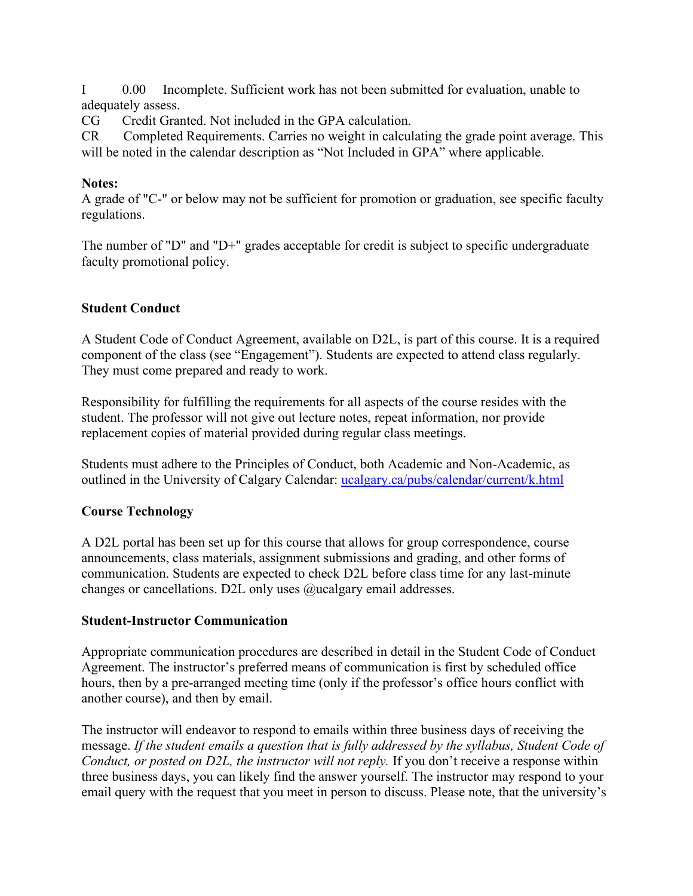I 0.00 Incomplete. Sufficient work has not been submitted for evaluation, unable to adequately assess.

CG Credit Granted. Not included in the GPA calculation.

CR Completed Requirements. Carries no weight in calculating the grade point average. This will be noted in the calendar description as "Not Included in GPA" where applicable.

### **Notes:**

A grade of "C-" or below may not be sufficient for promotion or graduation, see specific faculty regulations.

The number of "D" and "D+" grades acceptable for credit is subject to specific undergraduate faculty promotional policy.

## **Student Conduct**

A Student Code of Conduct Agreement, available on D2L, is part of this course. It is a required component of the class (see "Engagement"). Students are expected to attend class regularly. They must come prepared and ready to work.

Responsibility for fulfilling the requirements for all aspects of the course resides with the student. The professor will not give out lecture notes, repeat information, nor provide replacement copies of material provided during regular class meetings.

Students must adhere to the Principles of Conduct, both Academic and Non-Academic, as outlined in the University of Calgary Calendar: [ucalgary.ca/pubs/calendar/current/k.html](https://ucalgary.ca/pubs/calendar/current/k.html)

# **Course Technology**

A D2L portal has been set up for this course that allows for group correspondence, course announcements, class materials, assignment submissions and grading, and other forms of communication. Students are expected to check D2L before class time for any last-minute changes or cancellations. D2L only uses @ucalgary email addresses.

### **Student-Instructor Communication**

Appropriate communication procedures are described in detail in the Student Code of Conduct Agreement. The instructor's preferred means of communication is first by scheduled office hours, then by a pre-arranged meeting time (only if the professor's office hours conflict with another course), and then by email.

The instructor will endeavor to respond to emails within three business days of receiving the message. *If the student emails a question that is fully addressed by the syllabus, Student Code of Conduct, or posted on D2L, the instructor will not reply.* If you don't receive a response within three business days, you can likely find the answer yourself. The instructor may respond to your email query with the request that you meet in person to discuss. Please note, that the university's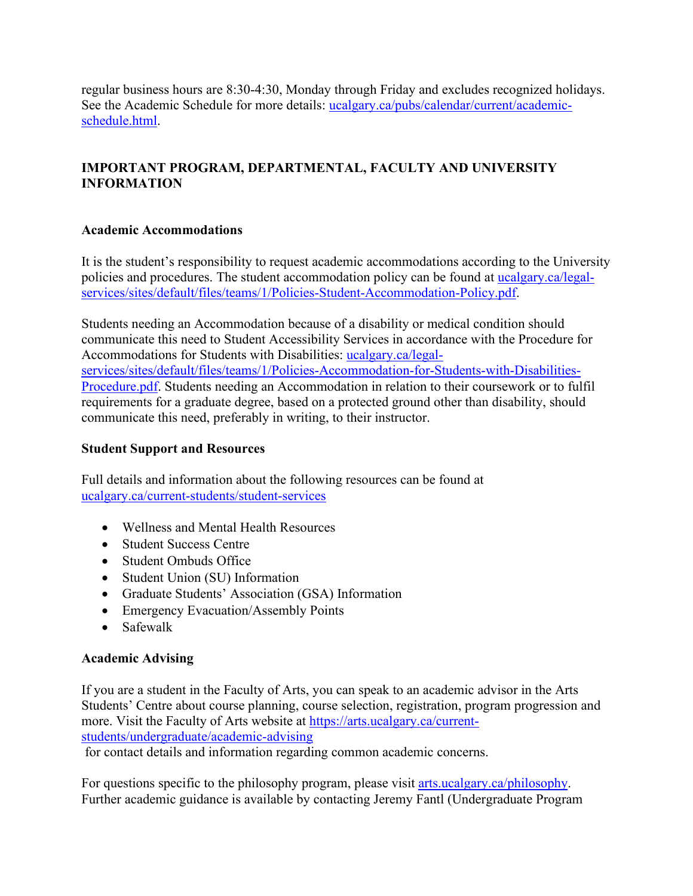regular business hours are 8:30-4:30, Monday through Friday and excludes recognized holidays. See the Academic Schedule for more details: ucalgary.ca/pubs/calendar/current/academicschedule.html.

# **IMPORTANT PROGRAM, DEPARTMENTAL, FACULTY AND UNIVERSITY INFORMATION**

## **Academic Accommodations**

It is the student's responsibility to request academic accommodations according to the University policies and procedures. The student accommodation policy can be found at [ucalgary.ca/legal](http://www.ucalgary.ca/legal-services/sites/default/files/teams/1/Policies-Student-Accommodation-Policy.pdf)[services/sites/default/files/teams/1/Policies-Student-Accommodation-Policy.pdf.](http://www.ucalgary.ca/legal-services/sites/default/files/teams/1/Policies-Student-Accommodation-Policy.pdf)

Students needing an Accommodation because of a disability or medical condition should communicate this need to Student Accessibility Services in accordance with the Procedure for Accommodations for Students with Disabilities: [ucalgary.ca/legal](https://www.ucalgary.ca/legal-services/sites/default/files/teams/1/Policies-Accommodation-for-Students-with-Disabilities-Procedure.pdf)[services/sites/default/files/teams/1/Policies-Accommodation-for-Students-with-Disabilities-](https://www.ucalgary.ca/legal-services/sites/default/files/teams/1/Policies-Accommodation-for-Students-with-Disabilities-Procedure.pdf)[Procedure.pdf.](https://www.ucalgary.ca/legal-services/sites/default/files/teams/1/Policies-Accommodation-for-Students-with-Disabilities-Procedure.pdf) Students needing an Accommodation in relation to their coursework or to fulfil requirements for a graduate degree, based on a protected ground other than disability, should communicate this need, preferably in writing, to their instructor.

### **Student Support and Resources**

Full details and information about the following resources can be found at [ucalgary.ca/current-students/student-services](https://www.ucalgary.ca/current-students/student-services)

- Wellness and Mental Health Resources
- Student Success Centre
- Student Ombuds Office
- Student Union (SU) Information
- Graduate Students' Association (GSA) Information
- Emergency Evacuation/Assembly Points
- Safewalk

### **Academic Advising**

If you are a student in the Faculty of Arts, you can speak to an academic advisor in the Arts Students' Centre about course planning, course selection, registration, program progression and more. Visit the Faculty of Arts website at [https://arts.ucalgary.ca/current](https://arts.ucalgary.ca/current-students/undergraduate/academic-advising)[students/undergraduate/academic-advising](https://arts.ucalgary.ca/current-students/undergraduate/academic-advising)

for contact details and information regarding common academic concerns.

For questions specific to the philosophy program, please visit arts.ucalgary.ca/philosophy. Further academic guidance is available by contacting Jeremy Fantl (Undergraduate Program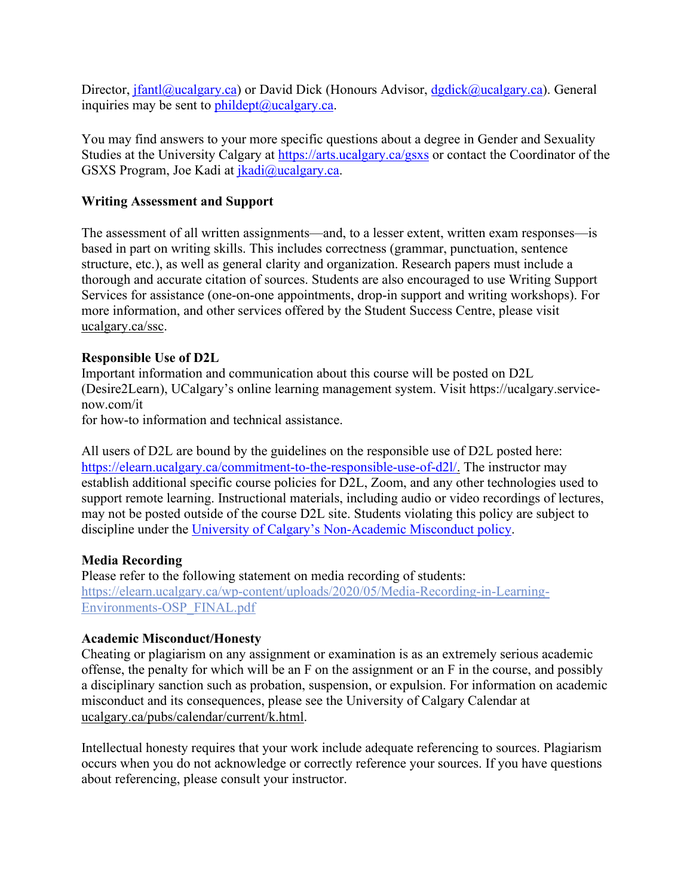Director, [jfantl@ucalgary.ca\)](mailto:jfantl@ucalgary.ca) or David Dick (Honours Advisor, [dgdick@ucalgary.ca\)](mailto:dgdick@ucalgary.ca). General inquiries may be sent to  $phildept@ucalgary.ca.$ 

You may find answers to your more specific questions about a degree in Gender and Sexuality Studies at the University Calgary at<https://arts.ucalgary.ca/gsxs> or contact the Coordinator of the GSXS Program, Joe Kadi at [jkadi@ucalgary.ca.](mailto:jkadi@ucalgary.ca)

#### **Writing Assessment and Support**

The assessment of all written assignments—and, to a lesser extent, written exam responses—is based in part on writing skills. This includes correctness (grammar, punctuation, sentence structure, etc.), as well as general clarity and organization. Research papers must include a thorough and accurate citation of sources. Students are also encouraged to use Writing Support Services for assistance (one-on-one appointments, drop-in support and writing workshops). For more information, and other services offered by the Student Success Centre, please visit [ucalgary.ca/ssc.](https://ucalgary.ca/ssc)

#### **Responsible Use of D2L**

Important information and communication about this course will be posted on D2L (Desire2Learn), UCalgary's online learning management system. Visit https://ucalgary.servicenow.com/it

for how-to information and technical assistance.

All users of D2L are bound by the guidelines on the responsible use of D2L posted here: [https://elearn.ucalgary.ca/commitment-to-the-responsible-use-of-d2l/.](https://elearn.ucalgary.ca/commitment-to-the-responsible-use-of-d2l/) The instructor may establish additional specific course policies for D2L, Zoom, and any other technologies used to support remote learning. Instructional materials, including audio or video recordings of lectures, may not be posted outside of the course D2L site. Students violating this policy are subject to discipline under the [University of Calgary's Non-Academic Misconduct policy.](https://www.ucalgary.ca/legal-services/sites/default/files/teams/1/Policies-Student-Non-Academic-Misconduct-Policy.pdf)

#### **Media Recording**

Please refer to the following statement on media recording of students: [https://elearn.ucalgary.ca/wp-content/uploads/2020/05/Media-Recording-in-Learning-](https://elearn.ucalgary.ca/wp-content/uploads/2020/05/Media-Recording-in-Learning-Environments-OSP_FINAL.pdf)[Environments-OSP\\_FINAL.pdf](https://elearn.ucalgary.ca/wp-content/uploads/2020/05/Media-Recording-in-Learning-Environments-OSP_FINAL.pdf)

#### **Academic Misconduct/Honesty**

Cheating or plagiarism on any assignment or examination is as an extremely serious academic offense, the penalty for which will be an F on the assignment or an F in the course, and possibly a disciplinary sanction such as probation, suspension, or expulsion. For information on academic misconduct and its consequences, please see the University of Calgary Calendar at [ucalgary.ca/pubs/calendar/current/k.html.](https://www.ucalgary.ca/pubs/calendar/current/k.html)

Intellectual honesty requires that your work include adequate referencing to sources. Plagiarism occurs when you do not acknowledge or correctly reference your sources. If you have questions about referencing, please consult your instructor.